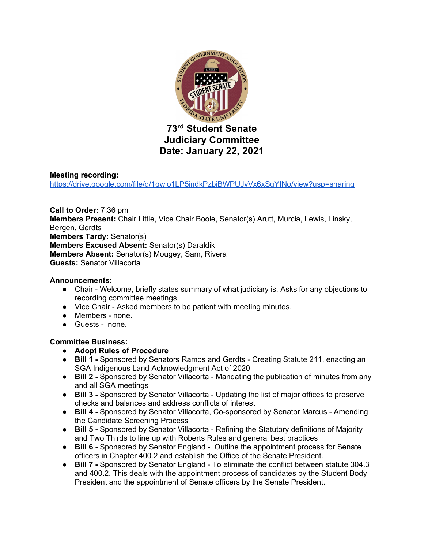

## **Meeting recording:**

https://drive.google.com/file/d/1gwio1LP5jndkPzbjBWPUJyVx6xSgYINo/view?usp=sharing

**Call to Order:** 7:36 pm **Members Present:** Chair Little, Vice Chair Boole, Senator(s) Arutt, Murcia, Lewis, Linsky, Bergen, Gerdts **Members Tardy:** Senator(s) **Members Excused Absent:** Senator(s) Daraldik **Members Absent:** Senator(s) Mougey, Sam, Rivera **Guests:** Senator Villacorta

#### **Announcements:**

- Chair Welcome, briefly states summary of what judiciary is. Asks for any objections to recording committee meetings.
- Vice Chair Asked members to be patient with meeting minutes.
- Members none.
- Guests none.

#### **Committee Business:**

- **Adopt Rules of Procedure**
- **Bill 1 -** Sponsored by Senators Ramos and Gerdts Creating Statute 211, enacting an SGA Indigenous Land Acknowledgment Act of 2020
- **Bill 2 -** Sponsored by Senator Villacorta Mandating the publication of minutes from any and all SGA meetings
- **Bill 3** Sponsored by Senator Villacorta Updating the list of major offices to preserve checks and balances and address conflicts of interest
- **Bill 4 -** Sponsored by Senator Villacorta, Co-sponsored by Senator Marcus Amending the Candidate Screening Process
- **Bill 5 -** Sponsored by Senator Villacorta Refining the Statutory definitions of Majority and Two Thirds to line up with Roberts Rules and general best practices
- **Bill 6 -** Sponsored by Senator England Outline the appointment process for Senate officers in Chapter 400.2 and establish the Office of the Senate President.
- **Bill 7** Sponsored by Senator England To eliminate the conflict between statute 304.3 and 400.2. This deals with the appointment process of candidates by the Student Body President and the appointment of Senate officers by the Senate President.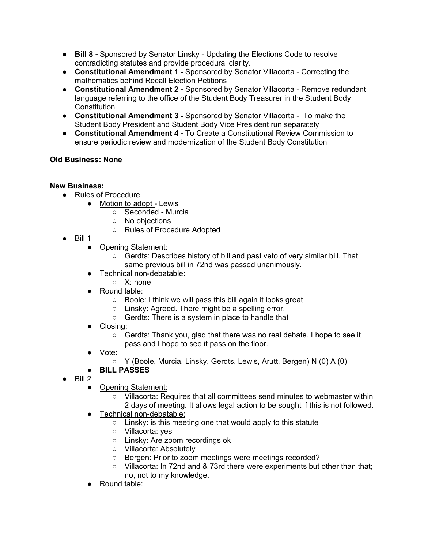- **Bill 8 -** Sponsored by Senator Linsky Updating the Elections Code to resolve contradicting statutes and provide procedural clarity.
- **Constitutional Amendment 1 -** Sponsored by Senator Villacorta Correcting the mathematics behind Recall Election Petitions
- **Constitutional Amendment 2 -** Sponsored by Senator Villacorta Remove redundant language referring to the office of the Student Body Treasurer in the Student Body **Constitution**
- **Constitutional Amendment 3 -** Sponsored by Senator Villacorta To make the Student Body President and Student Body Vice President run separately
- **Constitutional Amendment 4 -** To Create a Constitutional Review Commission to ensure periodic review and modernization of the Student Body Constitution

# **Old Business: None**

## **New Business:**

- Rules of Procedure
	- Motion to adopt Lewis
		- Seconded Murcia
		- No objections
		- Rules of Procedure Adopted
- $\bullet$  Bill 1
	- Opening Statement:
		- Gerdts: Describes history of bill and past veto of very similar bill. That same previous bill in 72nd was passed unanimously.
	- Technical non-debatable:
	- X: none
	- Round table:
		- Boole: I think we will pass this bill again it looks great
		- Linsky: Agreed. There might be a spelling error.
		- Gerdts: There is a system in place to handle that
	- Closing:
		- Gerdts: Thank you, glad that there was no real debate. I hope to see it pass and I hope to see it pass on the floor.
	- Vote:
		- Y (Boole, Murcia, Linsky, Gerdts, Lewis, Arutt, Bergen) N (0) A (0)
	- **BILL PASSES**
- $\bullet$  Bill 2
	- Opening Statement:
		- Villacorta: Requires that all committees send minutes to webmaster within 2 days of meeting. It allows legal action to be sought if this is not followed.
	- Technical non-debatable:
		- Linsky: is this meeting one that would apply to this statute
		- Villacorta: yes
		- Linsky: Are zoom recordings ok
		- Villacorta: Absolutely
		- Bergen: Prior to zoom meetings were meetings recorded?
		- Villacorta: In 72nd and & 73rd there were experiments but other than that: no, not to my knowledge.
	- Round table: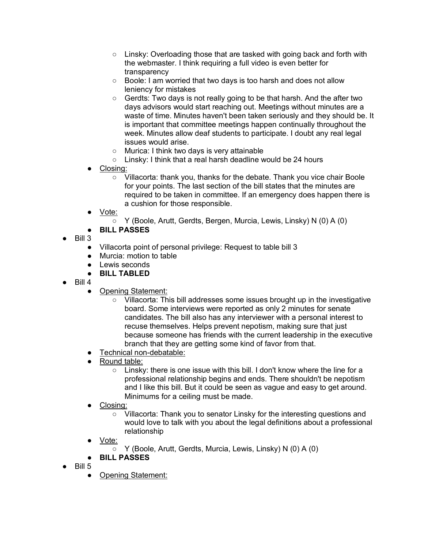- $\circ$  Linsky: Overloading those that are tasked with going back and forth with the webmaster. I think requiring a full video is even better for transparency
- Boole: I am worried that two days is too harsh and does not allow leniency for mistakes
- $\circ$  Gerdts: Two days is not really going to be that harsh. And the after two days advisors would start reaching out. Meetings without minutes are a waste of time. Minutes haven't been taken seriously and they should be. It is important that committee meetings happen continually throughout the week. Minutes allow deaf students to participate. I doubt any real legal issues would arise.
- Murica: I think two days is very attainable
- Linsky: I think that a real harsh deadline would be 24 hours
- Closing:
	- Villacorta: thank you, thanks for the debate. Thank you vice chair Boole for your points. The last section of the bill states that the minutes are required to be taken in committee. If an emergency does happen there is a cushion for those responsible.
- Vote:
	- Y (Boole, Arutt, Gerdts, Bergen, Murcia, Lewis, Linsky) N (0) A (0)
- **BILL PASSES**
- Bill 3
	- Villacorta point of personal privilege: Request to table bill 3
	- Murcia: motion to table
	- Lewis seconds
	- **BILL TABLED**
- Bill 4
	- Opening Statement:
		- Villacorta: This bill addresses some issues brought up in the investigative board. Some interviews were reported as only 2 minutes for senate candidates. The bill also has any interviewer with a personal interest to recuse themselves. Helps prevent nepotism, making sure that just because someone has friends with the current leadership in the executive branch that they are getting some kind of favor from that.
	- Technical non-debatable:
	- Round table:
		- Linsky: there is one issue with this bill. I don't know where the line for a professional relationship begins and ends. There shouldn't be nepotism and I like this bill. But it could be seen as vague and easy to get around. Minimums for a ceiling must be made.
	- Closing:
		- Villacorta: Thank you to senator Linsky for the interesting questions and would love to talk with you about the legal definitions about a professional relationship
	- Vote:
		- Y (Boole, Arutt, Gerdts, Murcia, Lewis, Linsky) N (0) A (0)
	- **BILL PASSES**
- $\bullet$  Bill 5
	- Opening Statement: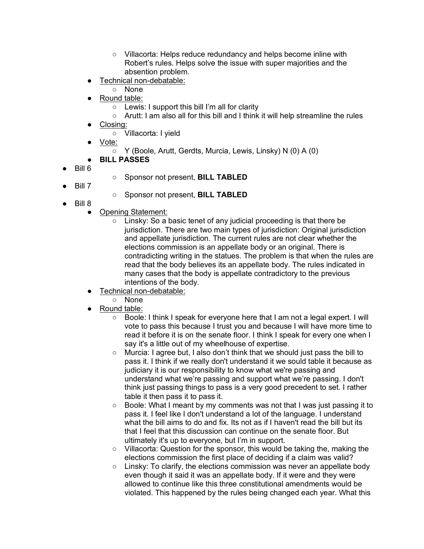- Villacorta: Helps reduce redundancy and helps become inline with Robert's rules. Helps solve the issue with super majorities and the absention problem.
- Technical non-debatable:
	- None
	- Round table:
		- Lewis: I support this bill I'm all for clarity
		- Arutt: I am also all for this bill and I think it will help streamline the rules
- Closing:
	- Villacorta: I yield
- Vote:
	- Y (Boole, Arutt, Gerdts, Murcia, Lewis, Linsky) N (0) A (0)
- **BILL PASSES**
- Bill 6
- Sponsor not present, **BILL TABLED**
- Bill 7
- Sponsor not present, **BILL TABLED**
- Bill 8
	- Opening Statement:
		- Linsky: So a basic tenet of any judicial proceeding is that there be jurisdiction. There are two main types of jurisdiction: Original jurisdiction and appellate jurisdiction. The current rules are not clear whether the elections commission is an appellate body or an original. There is contradicting writing in the statues. The problem is that when the rules are read that the body believes its an appellate body. The rules indicated in many cases that the body is appellate contradictory to the previous intentions of the body.
	- Technical non-debatable:
		- None
	- Round table:
		- Boole: I think I speak for everyone here that I am not a legal expert. I will vote to pass this because I trust you and because I will have more time to read it before it is on the senate floor. I think I speak for every one when I say it's a little out of my wheelhouse of expertise.
		- Murcia: I agree but, I also don't think that we should just pass the bill to pass it. I think if we really don't understand it we sould table it because as judiciary it is our responsibility to know what we're passing and understand what we're passing and support what we're passing. I don't think just passing things to pass is a very good precedent to set. I rather table it then pass it to pass it.
		- Boole: What I meant by my comments was not that I was just passing it to pass it. I feel like I don't understand a lot of the language. I understand what the bill aims to do and fix. Its not as if I haven't read the bill but its that I feel that this discussion can continue on the senate floor. But ultimately it's up to everyone, but I'm in support.
		- Villacorta: Question for the sponsor, this would be taking the, making the elections commission the first place of deciding if a claim was valid?
		- $\circ$  Linsky: To clarify, the elections commission was never an appellate body even though it said it was an appellate body. If it were and they were allowed to continue like this three constitutional amendments would be violated. This happened by the rules being changed each year. What this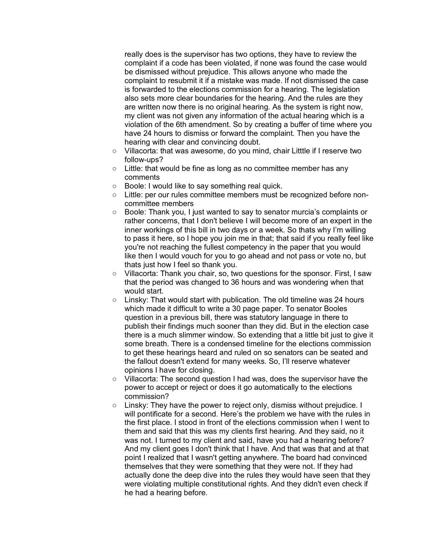really does is the supervisor has two options, they have to review the complaint if a code has been violated, if none was found the case would be dismissed without prejudice. This allows anyone who made the complaint to resubmit it if a mistake was made. If not dismissed the case is forwarded to the elections commission for a hearing. The legislation also sets more clear boundaries for the hearing. And the rules are they are written now there is no original hearing. As the system is right now, my client was not given any information of the actual hearing which is a violation of the 6th amendment. So by creating a buffer of time where you have 24 hours to dismiss or forward the complaint. Then you have the hearing with clear and convincing doubt.

- Villacorta: that was awesome, do you mind, chair Litttle if I reserve two follow-ups?
- Little: that would be fine as long as no committee member has any comments
- Boole: I would like to say something real quick.
- Little: per our rules committee members must be recognized before noncommittee members
- Boole: Thank you, I just wanted to say to senator murcia's complaints or rather concerns, that I don't believe I will become more of an expert in the inner workings of this bill in two days or a week. So thats why I'm willing to pass it here, so I hope you join me in that; that said if you really feel like you're not reaching the fullest competency in the paper that you would like then I would vouch for you to go ahead and not pass or vote no, but thats just how I feel so thank you.
- Villacorta: Thank you chair, so, two questions for the sponsor. First, I saw that the period was changed to 36 hours and was wondering when that would start.
- Linsky: That would start with publication. The old timeline was 24 hours which made it difficult to write a 30 page paper. To senator Booles question in a previous bill, there was statutory language in there to publish their findings much sooner than they did. But in the election case there is a much slimmer window. So extending that a little bit just to give it some breath. There is a condensed timeline for the elections commission to get these hearings heard and ruled on so senators can be seated and the fallout doesn't extend for many weeks. So, I'll reserve whatever opinions I have for closing.
- Villacorta: The second question I had was, does the supervisor have the power to accept or reject or does it go automatically to the elections commission?
- Linsky: They have the power to reject only, dismiss without prejudice. I will pontificate for a second. Here's the problem we have with the rules in the first place. I stood in front of the elections commission when I went to them and said that this was my clients first hearing. And they said, no it was not. I turned to my client and said, have you had a hearing before? And my client goes I don't think that I have. And that was that and at that point I realized that I wasn't getting anywhere. The board had convinced themselves that they were something that they were not. If they had actually done the deep dive into the rules they would have seen that they were violating multiple constitutional rights. And they didn't even check if he had a hearing before.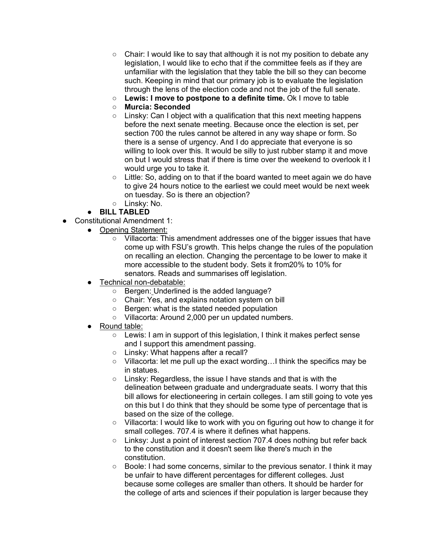- $\circ$  Chair: I would like to say that although it is not my position to debate any legislation, I would like to echo that if the committee feels as if they are unfamiliar with the legislation that they table the bill so they can become such. Keeping in mind that our primary job is to evaluate the legislation through the lens of the election code and not the job of the full senate.
- **Lewis: I move to postpone to a definite time.** Ok I move to table
- **Murcia: Seconded**
- Linsky: Can I object with a qualification that this next meeting happens before the next senate meeting. Because once the election is set, per section 700 the rules cannot be altered in any way shape or form. So there is a sense of urgency. And I do appreciate that everyone is so willing to look over this. It would be silly to just rubber stamp it and move on but I would stress that if there is time over the weekend to overlook it I would urge you to take it.
- $\circ$  Little: So, adding on to that if the board wanted to meet again we do have to give 24 hours notice to the earliest we could meet would be next week on tuesday. So is there an objection?
- Linsky: No.
- **BILL TABLED**
- Constitutional Amendment 1:
	- Opening Statement:
		- Villacorta: This amendment addresses one of the bigger issues that have come up with FSU's growth. This helps change the rules of the population on recalling an election. Changing the percentage to be lower to make it more accessible to the student body. Sets it from20% to 10% for senators. Reads and summarises off legislation.
	- Technical non-debatable:
		- Bergen: Underlined is the added language?
		- Chair: Yes, and explains notation system on bill
		- Bergen: what is the stated needed population
		- Villacorta: Around 2,000 per un updated numbers.
	- Round table:
		- $\circ$  Lewis: I am in support of this legislation, I think it makes perfect sense and I support this amendment passing.
		- Linsky: What happens after a recall?
		- Villacorta: let me pull up the exact wording…I think the specifics may be in statues.
		- Linsky: Regardless, the issue I have stands and that is with the delineation between graduate and undergraduate seats. I worry that this bill allows for electioneering in certain colleges. I am still going to vote yes on this but I do think that they should be some type of percentage that is based on the size of the college.
		- Villacorta: I would like to work with you on figuring out how to change it for small colleges. 707.4 is where it defines what happens.
		- Linksy: Just a point of interest section 707.4 does nothing but refer back to the constitution and it doesn't seem like there's much in the constitution.
		- Boole: I had some concerns, similar to the previous senator. I think it may be unfair to have different percentages for different colleges. Just because some colleges are smaller than others. It should be harder for the college of arts and sciences if their population is larger because they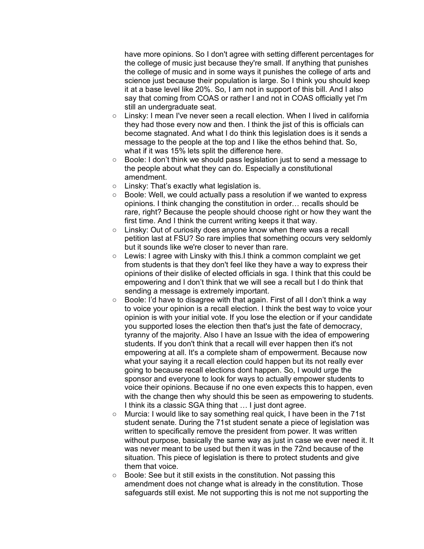have more opinions. So I don't agree with setting different percentages for the college of music just because they're small. If anything that punishes the college of music and in some ways it punishes the college of arts and science just because their population is large. So I think you should keep it at a base level like 20%. So, I am not in support of this bill. And I also say that coming from COAS or rather I and not in COAS officially yet I'm still an undergraduate seat.

- Linsky: I mean I've never seen a recall election. When I lived in california they had those every now and then. I think the jist of this is officials can become stagnated. And what I do think this legislation does is it sends a message to the people at the top and I like the ethos behind that. So, what if it was 15% lets split the difference here.
- Boole: I don't think we should pass legislation just to send a message to the people about what they can do. Especially a constitutional amendment.
- Linsky: That's exactly what legislation is.
- Boole: Well, we could actually pass a resolution if we wanted to express opinions. I think changing the constitution in order… recalls should be rare, right? Because the people should choose right or how they want the first time. And I think the current writing keeps it that way.
- Linsky: Out of curiosity does anyone know when there was a recall petition last at FSU? So rare implies that something occurs very seldomly but it sounds like we're closer to never than rare.
- Lewis: I agree with Linsky with this.I think a common complaint we get from students is that they don't feel like they have a way to express their opinions of their dislike of elected officials in sga. I think that this could be empowering and I don't think that we will see a recall but I do think that sending a message is extremely important.
- Boole: I'd have to disagree with that again. First of all I don't think a way to voice your opinion is a recall election. I think the best way to voice your opinion is with your initial vote. If you lose the election or if your candidate you supported loses the election then that's just the fate of democracy, tyranny of the majority. Also I have an Issue with the idea of empowering students. If you don't think that a recall will ever happen then it's not empowering at all. It's a complete sham of empowerment. Because now what your saying it a recall election could happen but its not really ever going to because recall elections dont happen. So, I would urge the sponsor and everyone to look for ways to actually empower students to voice their opinions. Because if no one even expects this to happen, even with the change then why should this be seen as empowering to students. I think its a classic SGA thing that … I just dont agree.
- Murcia: I would like to say something real quick, I have been in the 71st student senate. During the 71st student senate a piece of legislation was written to specifically remove the president from power. It was written without purpose, basically the same way as just in case we ever need it. It was never meant to be used but then it was in the 72nd because of the situation. This piece of legislation is there to protect students and give them that voice.
- Boole: See but it still exists in the constitution. Not passing this amendment does not change what is already in the constitution. Those safeguards still exist. Me not supporting this is not me not supporting the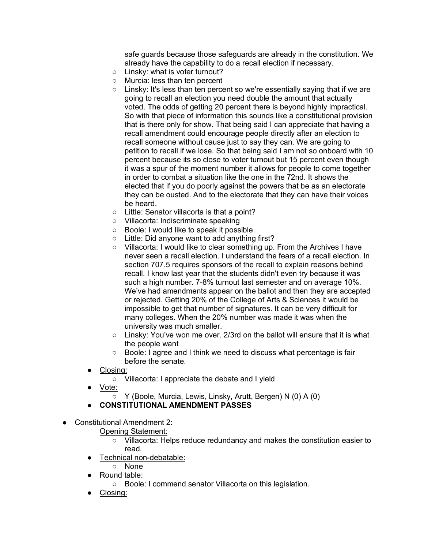safe guards because those safeguards are already in the constitution. We already have the capability to do a recall election if necessary.

- Linsky: what is voter turnout?
- Murcia: less than ten percent
- Linsky: It's less than ten percent so we're essentially saying that if we are going to recall an election you need double the amount that actually voted. The odds of getting 20 percent there is beyond highly impractical. So with that piece of information this sounds like a constitutional provision that is there only for show. That being said I can appreciate that having a recall amendment could encourage people directly after an election to recall someone without cause just to say they can. We are going to petition to recall if we lose. So that being said I am not so onboard with 10 percent because its so close to voter turnout but 15 percent even though it was a spur of the moment number it allows for people to come together in order to combat a situation like the one in the 72nd. It shows the elected that if you do poorly against the powers that be as an electorate they can be ousted. And to the electorate that they can have their voices be heard.
- Little: Senator villacorta is that a point?
- Villacorta: Indiscriminate speaking
- Boole: I would like to speak it possible.
- Little: Did anyone want to add anything first?
- Villacorta: I would like to clear something up. From the Archives I have never seen a recall election. I understand the fears of a recall election. In section 707.5 requires sponsors of the recall to explain reasons behind recall. I know last year that the students didn't even try because it was such a high number. 7-8% turnout last semester and on average 10%. We've had amendments appear on the ballot and then they are accepted or rejected. Getting 20% of the College of Arts & Sciences it would be impossible to get that number of signatures. It can be very difficult for many colleges. When the 20% number was made it was when the university was much smaller.
- $\circ$  Linsky: You've won me over. 2/3rd on the ballot will ensure that it is what the people want
- Boole: I agree and I think we need to discuss what percentage is fair before the senate.
- Closing:
	- Villacorta: I appreciate the debate and I yield
- Vote:
	- Y (Boole, Murcia, Lewis, Linsky, Arutt, Bergen) N (0) A (0)
- **CONSTITUTIONAL AMENDMENT PASSES**
- Constitutional Amendment 2:
	- Opening Statement:
		- Villacorta: Helps reduce redundancy and makes the constitution easier to read.
	- Technical non-debatable:
	- None
	- Round table:
		- Boole: I commend senator Villacorta on this legislation.
	- Closing: